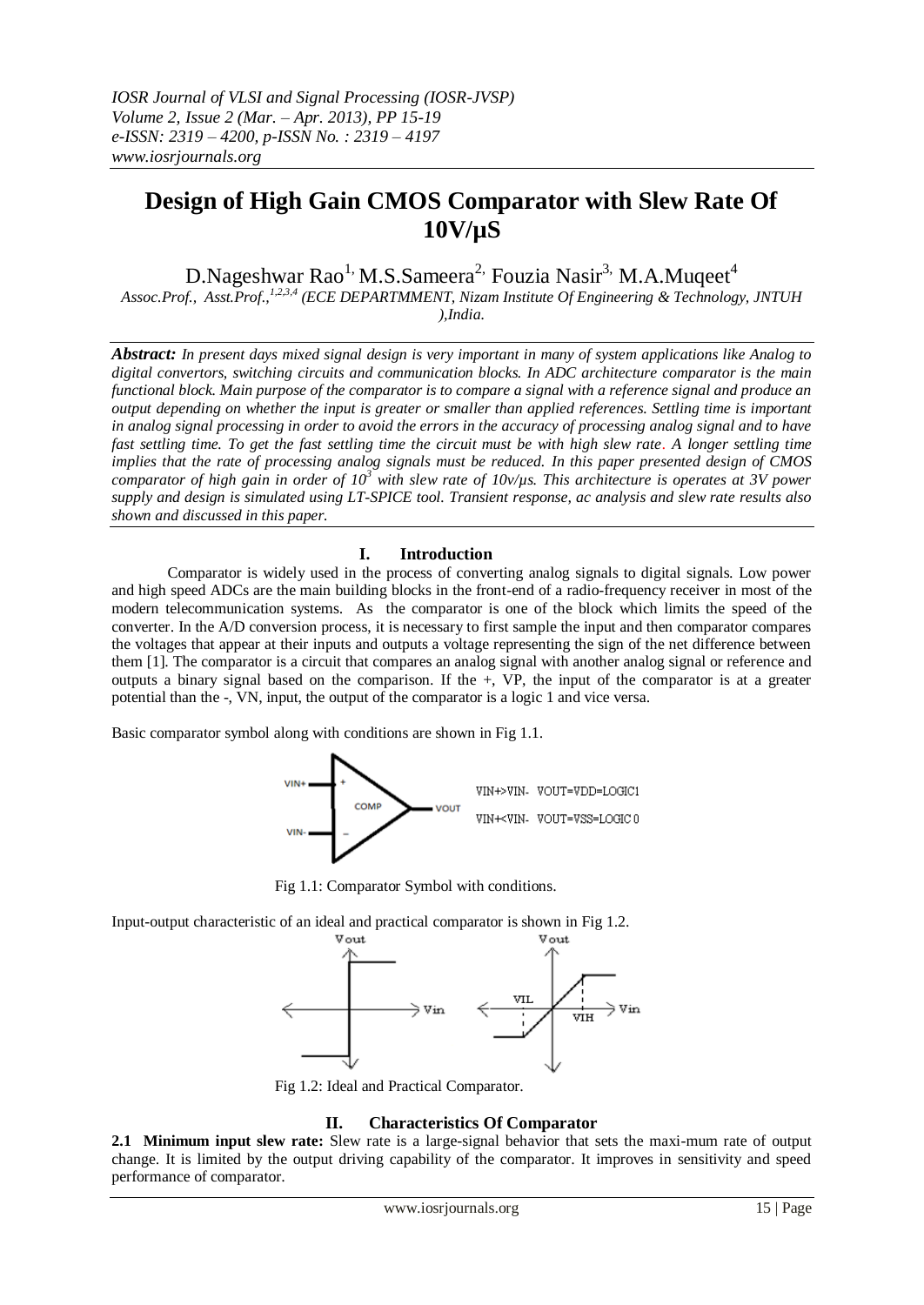# **Design of High Gain CMOS Comparator with Slew Rate Of 10V/µS**

D.Nageshwar Rao<sup>1,</sup> M.S.Sameera<sup>2,</sup> Fouzia Nasir<sup>3,</sup> M.A.Muqeet<sup>4</sup> *Assoc.Prof., Asst.Prof.,1,2,3,4 (ECE DEPARTMMENT, Nizam Institute Of Engineering & Technology, JNTUH* 

*),India.*

*Abstract: In present days mixed signal design is very important in many of system applications like Analog to digital convertors, switching circuits and communication blocks. In ADC architecture comparator is the main functional block. Main purpose of the comparator is to compare a signal with a reference signal and produce an output depending on whether the input is greater or smaller than applied references. Settling time is important in analog signal processing in order to avoid the errors in the accuracy of processing analog signal and to have fast settling time. To get the fast settling time the circuit must be with high slew rate. A longer settling time implies that the rate of processing analog signals must be reduced. In this paper presented design of CMOS comparator of high gain in order of 10<sup>3</sup> with slew rate of 10v/µs. This architecture is operates at 3V power supply and design is simulated using LT-SPICE tool. Transient response, ac analysis and slew rate results also shown and discussed in this paper.*

## **I. Introduction**

Comparator is widely used in the process of converting analog signals to digital signals. Low power and high speed ADCs are the main building blocks in the front-end of a radio-frequency receiver in most of the modern telecommunication systems. As the comparator is one of the block which limits the speed of the converter. In the A/D conversion process, it is necessary to first sample the input and then comparator compares the voltages that appear at their inputs and outputs a voltage representing the sign of the net difference between them [1]. The comparator is a circuit that compares an analog signal with another analog signal or reference and outputs a binary signal based on the comparison. If the +, VP, the input of the comparator is at a greater potential than the -, VN, input, the output of the comparator is a logic 1 and vice versa.

Basic comparator symbol along with conditions are shown in Fig 1.1.



Fig 1.1: Comparator Symbol with conditions.

Input-output characteristic of an ideal and practical comparator is shown in Fig 1.2.



Fig 1.2: Ideal and Practical Comparator.

### **II. Characteristics Of Comparator**

**2.1 Minimum input slew rate:** Slew rate is a large-signal behavior that sets the maxi-mum rate of output change. It is limited by the output driving capability of the comparator. It improves in sensitivity and speed performance of comparator.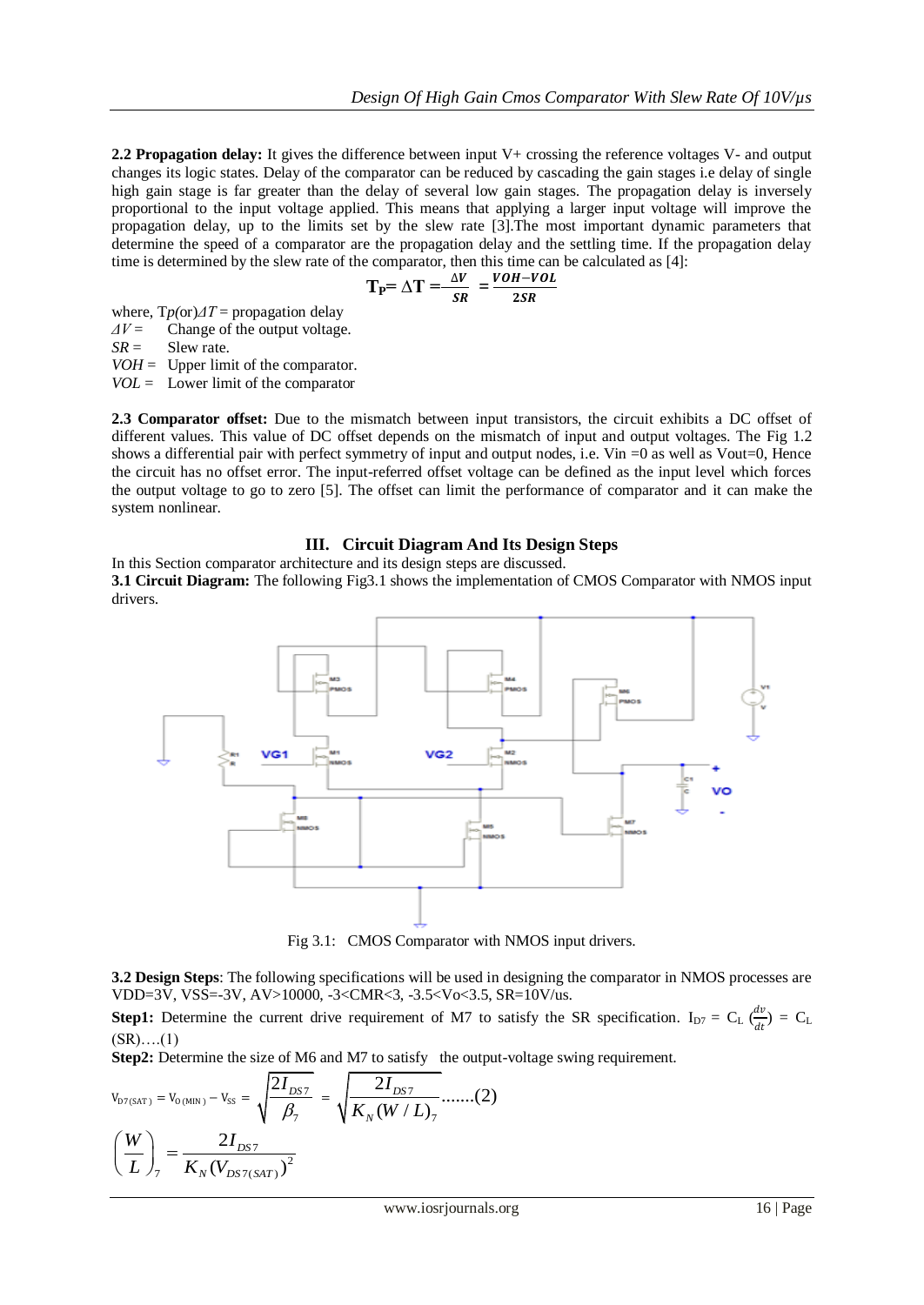**2.2 Propagation delay:** It gives the difference between input V+ crossing the reference voltages V- and output changes its logic states. Delay of the comparator can be reduced by cascading the gain stages i.e delay of single high gain stage is far greater than the delay of several low gain stages. The propagation delay is inversely proportional to the input voltage applied. This means that applying a larger input voltage will improve the propagation delay, up to the limits set by the slew rate [3].The most important dynamic parameters that determine the speed of a comparator are the propagation delay and the settling time. If the propagation delay time is determined by the slew rate of the comparator, then this time can be calculated as [4]:

$$
T_{P} = \Delta T = \frac{\Delta V}{SR} = \frac{VOH - VOL}{2SR}
$$

where, T*p(*or)*ΔT* = propagation delay

*ΔV* = Change of the output voltage.

 $SR =$  Slew rate.

 $VOH =$  Upper limit of the comparator.

*VOL* = Lower limit of the comparator

**2.3 Comparator offset:** Due to the mismatch between input transistors, the circuit exhibits a DC offset of different values. This value of DC offset depends on the mismatch of input and output voltages. The Fig 1.2 shows a differential pair with perfect symmetry of input and output nodes, i.e. Vin =0 as well as Vout=0, Hence the circuit has no offset error. The input-referred offset voltage can be defined as the input level which forces the output voltage to go to zero [5]. The offset can limit the performance of comparator and it can make the system nonlinear.

### **III. Circuit Diagram And Its Design Steps**

In this Section comparator architecture and its design steps are discussed. **3.1 Circuit Diagram:** The following Fig3.1 shows the implementation of CMOS Comparator with NMOS input drivers.



Fig 3.1: CMOS Comparator with NMOS input drivers.

**3.2 Design Steps**: The following specifications will be used in designing the comparator in NMOS processes are VDD=3V, VSS=-3V, AV>10000, -3<CMR<3, -3.5<Vo<3.5, SR=10V/us.

**Step1:** Determine the current drive requirement of M7 to satisfy the SR specification. I<sub>D7</sub> = C<sub>L</sub>  $\frac{dv}{dt}$  $\frac{dv}{dt}$ ) = C<sub>L</sub>  $(SR)$ …. $(1)$ 

**Step2:** Determine the size of M6 and M7 to satisfy the output-voltage swing requirement.

$$
V_{D7(SAT)} = V_{O(MIN)} - V_{SS} = \sqrt{\frac{2I_{DS7}}{\beta_7}} = \sqrt{\frac{2I_{DS7}}{K_N(W/L)_7}} \dots (2)
$$

$$
\left(\frac{W}{L}\right)_7 = \frac{2I_{DS7}}{K_N(V_{DS7(SAT)})^2}
$$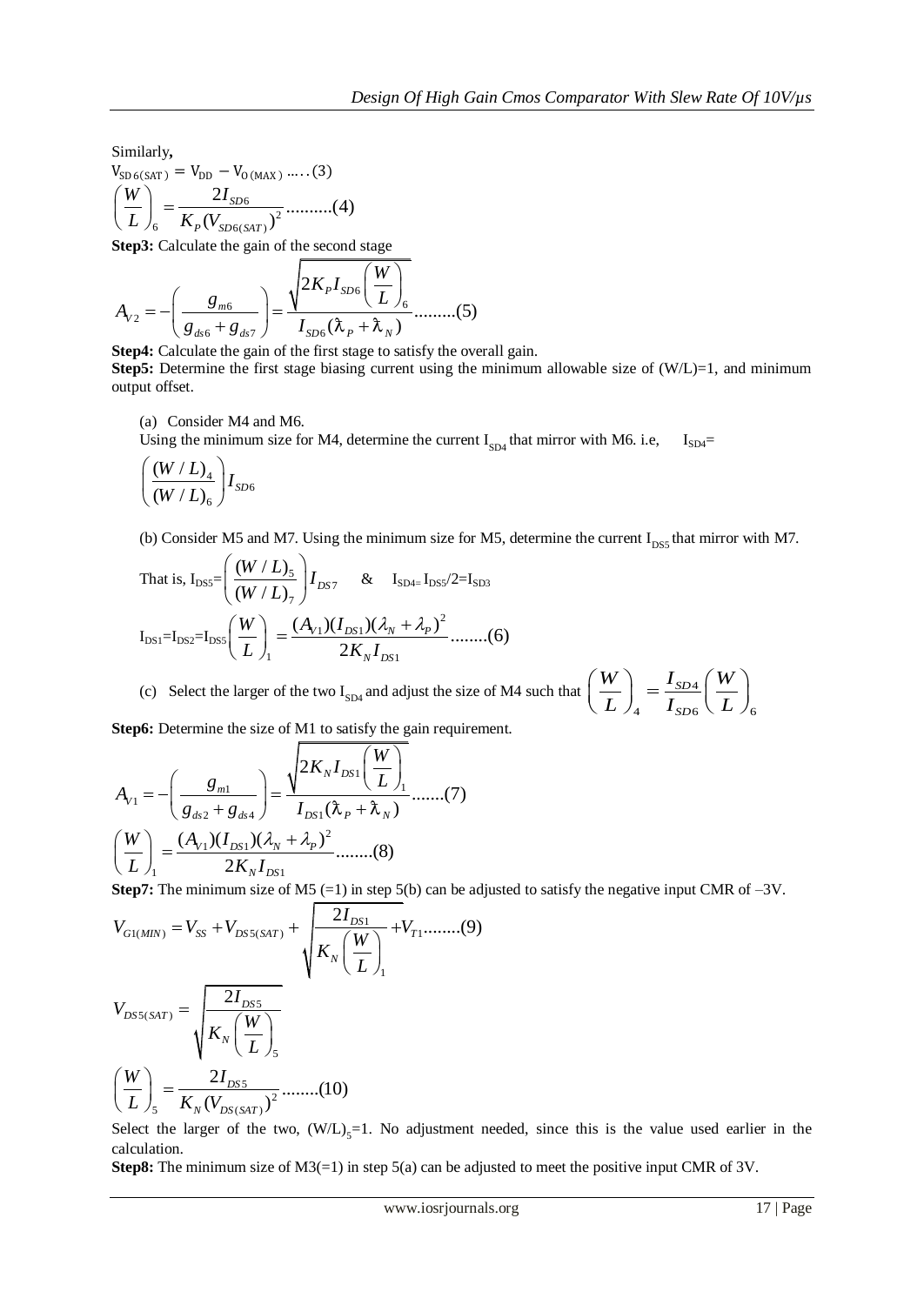Similarly**,**  $V_{SD 6(SAT)} = V_{DD} - V_{O(MAX)}$  .....(3) 6 6  $K_P(V_{SD6(SAT)})^2$ 2 ..........(4) ( ) *SD*  $\mathcal{P}_P(V_{SD6(SAT}% )\rightarrow\mathcal{P}_P(V_{SD6(SAT}% )\rightarrow\mathcal{P}_P(V_{SBT}% )$  $V_{\text{SD 6(SAT)}} = V_{\text{DD}} -$ <br> $\left(\frac{W}{L}\right)_{6} = \frac{2I}{K_{P}(V_{SL})}$ 

Step3: Calculate the gain of the second stage  
\n
$$
A_{v_2} = -\left(\frac{g_{m6}}{g_{d56} + g_{d57}}\right) = \frac{\sqrt{2K_p I_{SD6} \left(\frac{W}{L}\right)}_{6}}{I_{SD6}(\lambda_p + \lambda_p)}
$$
\n... (5)

**Step4:** Calculate the gain of the first stage to satisfy the overall gain.

**Step5:** Determine the first stage biasing current using the minimum allowable size of  $(W/L)=1$ , and minimum output offset.

(a) Consider M4 and M6.

Using the minimum size for M4, determine the current  $I_{SD4}$  that mirror with M6. i.e,  $I_{SD4}$ =

$$
\Bigg(\frac{(W/L)_4}{(W/L)_6}\Bigg)I_{SD6}
$$

(b) Consider M5 and M7. Using the minimum size for M5, determine the current  $I_{DSS}$  that mirror with M7.

That is, 
$$
I_{DSS} = \left(\frac{(W/L)_5}{(W/L)_7}\right)I_{DS7}
$$
 &  $I_{SD4} = I_{DSS}/2 = I_{SD3}$   
 $I_{DS1} = I_{DS2} = I_{DS5}\left(\frac{W}{L}\right)_1 = \frac{(A_{V1})(I_{DS1})(\lambda_N + \lambda_p)^2}{2K_N I_{DS1}}$ ......(6)

(c) Select the larger of the two I<sub>SD4</sub> and adjust the size of M4 such that  $\left| \frac{W}{I} \right| = \frac{I_{SD4}}{I}$ 4  $I_{SD6} \ (L)_{6}$ *SD SD*  $W$ <sup>*I*</sup>  $I_{SD4}$   $\left(W\right)$  $\left(\frac{W}{L}\right)_4 = \frac{I_{SD4}}{I_{SD6}} \left(\frac{W}{L}\right)_6$ 

Step6: Determine the size of M1 to satisfy the gain requirement.  
\n
$$
A_{V1} = -\left(\frac{g_{m1}}{g_{ds2} + g_{ds4}}\right) = \frac{\sqrt{2K_N I_{DS1}} \left(\frac{W}{L}\right)}{I_{DS1}(\lambda_P + \lambda_N)} \dots \dots (7)
$$
\n
$$
\left(\frac{W}{L}\right)_1 = \frac{(A_{V1})(I_{DS1})(\lambda_N + \lambda_P)^2}{2K_N I_{DS1}} \dots \dots (8)
$$

Step 7: The minimum size of M5 (=1) in step 5(b) can be adjusted to satisfy the negative input CMR of -3V.  
\n
$$
V_{GI(MIN)} = V_{SS} + V_{DSS(SAT)} + \sqrt{\frac{2I_{DS1}}{K_N(\frac{W}{L})_1}} + V_{T1} \dots \dots \dots (9)
$$
\n
$$
V_{DSS(SAT)} = \sqrt{\frac{2I_{DS5}}{K_N(\frac{W}{L})_5}}
$$
\n
$$
(\frac{W}{L})_5 = \frac{2I_{DS5}}{K_N(V_{DS(SAT)})^2} \dots \dots \dots (10)
$$

Select the larger of the two,  $(W/L)_{5} = 1$ . No adjustment needed, since this is the value used earlier in the calculation.

**Step8:** The minimum size of M3(=1) in step 5(a) can be adjusted to meet the positive input CMR of 3V.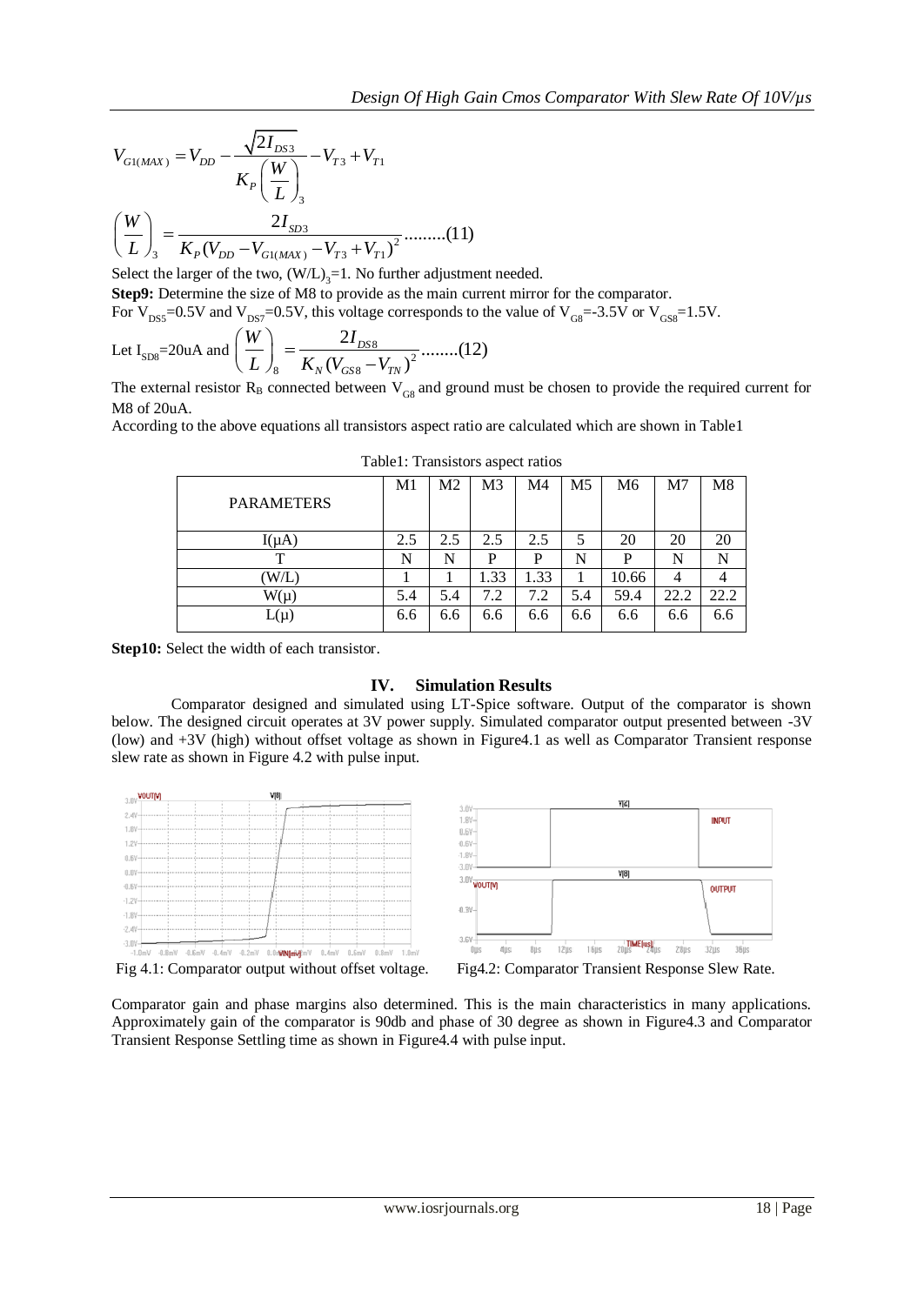$$
V_{G1(MAX)} = V_{DD} - \frac{\sqrt{2I_{DS3}}}{K_P \left(\frac{W}{L}\right)_3} - V_{T3} + V_{T1}
$$

$$
\left(\frac{W}{L}\right)_3 = \frac{2I_{SD3}}{K_P (V_{DD} - V_{G1(MAX)} - V_{T3} + V_{T1})^2} \dots \dots \dots (11)
$$

Select the larger of the two,  $(W/L)_{3} = 1$ . No further adjustment needed.

**Step9:** Determine the size of M8 to provide as the main current mirror for the comparator.

For V<sub>DS5</sub>=0.5V and V<sub>DS7</sub>=0.5V, this voltage corresponds to the value of V<sub>GS</sub>=-3.5V or V<sub>GS8</sub>=1.5V.  
Let I<sub>SD8</sub>=20uA and 
$$
\left(\frac{W}{L}\right)_{8} = \frac{2I_{DS8}}{K_{N}(V_{GS8} - V_{TN})^{2}}
$$
........(12)

The external resistor  $R_B$  connected between  $V_{GB}$  and ground must be chosen to provide the required current for M8 of 20uA.

According to the above equations all transistors aspect ratio are calculated which are shown in Table1

|                           | M1  | M2  | M <sub>3</sub> | M4   | M <sub>5</sub> | M6    | M <sub>7</sub> | M8   |
|---------------------------|-----|-----|----------------|------|----------------|-------|----------------|------|
| <b>PARAMETERS</b>         |     |     |                |      |                |       |                |      |
| $I(\mu A)$                | 2.5 | 2.5 | 2.5            | 2.5  | 5              | 20    | 20             | 20   |
| T                         | N   | N   | P              | P    | N              | P     | N              | N    |
| $(\mathrm{W}/\mathrm{L})$ |     |     | 1.33           | 1.33 |                | 10.66 | 4              |      |
| $W(\mu)$                  | 5.4 | 5.4 | 7.2            | 7.2  | 5.4            | 59.4  | 22.2           | 22.2 |
| $L(\mu)$                  | 6.6 | 6.6 | 6.6            | 6.6  | 6.6            | 6.6   | 6.6            | 6.6  |
|                           |     |     |                |      |                |       |                |      |

Table1: Transistors aspect ratios

**Step10:** Select the width of each transistor.

### **IV. Simulation Results**

Comparator designed and simulated using LT-Spice software. Output of the comparator is shown below. The designed circuit operates at 3V power supply. Simulated comparator output presented between -3V (low) and +3V (high) without offset voltage as shown in Figure4.1 as well as Comparator Transient response slew rate as shown in Figure 4.2 with pulse input.



Comparator gain and phase margins also determined. This is the main characteristics in many applications. Approximately gain of the comparator is 90db and phase of 30 degree as shown in Figure4.3 and Comparator Transient Response Settling time as shown in Figure4.4 with pulse input.